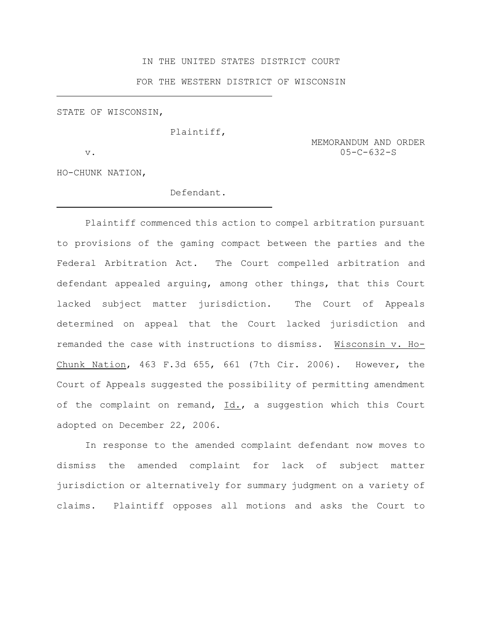# IN THE UNITED STATES DISTRICT COURT

FOR THE WESTERN DISTRICT OF WISCONSIN

STATE OF WISCONSIN,

Plaintiff,

 MEMORANDUM AND ORDER v. 05-C-632-S

HO-CHUNK NATION,

# Defendant.

Plaintiff commenced this action to compel arbitration pursuant to provisions of the gaming compact between the parties and the Federal Arbitration Act. The Court compelled arbitration and defendant appealed arguing, among other things, that this Court lacked subject matter jurisdiction. The Court of Appeals determined on appeal that the Court lacked jurisdiction and remanded the case with instructions to dismiss. Wisconsin v. Ho-Chunk Nation, 463 F.3d 655, 661 (7th Cir. 2006). However, the Court of Appeals suggested the possibility of permitting amendment of the complaint on remand, Id., a suggestion which this Court adopted on December 22, 2006.

In response to the amended complaint defendant now moves to dismiss the amended complaint for lack of subject matter jurisdiction or alternatively for summary judgment on a variety of claims. Plaintiff opposes all motions and asks the Court to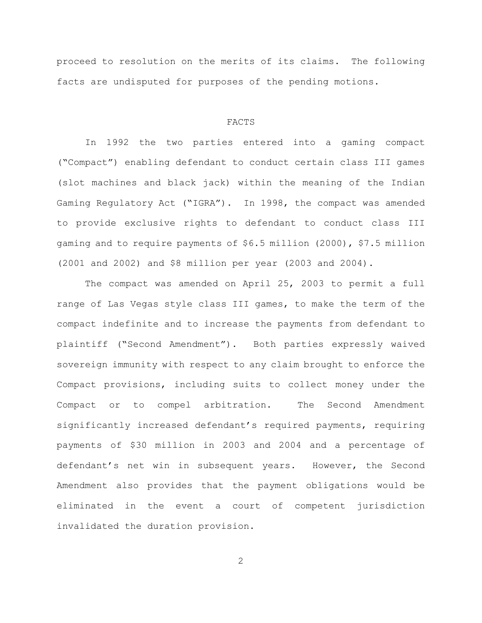proceed to resolution on the merits of its claims. The following facts are undisputed for purposes of the pending motions.

#### FACTS

In 1992 the two parties entered into a gaming compact ("Compact") enabling defendant to conduct certain class III games (slot machines and black jack) within the meaning of the Indian Gaming Regulatory Act ("IGRA"). In 1998, the compact was amended to provide exclusive rights to defendant to conduct class III gaming and to require payments of \$6.5 million (2000), \$7.5 million (2001 and 2002) and \$8 million per year (2003 and 2004).

The compact was amended on April 25, 2003 to permit a full range of Las Vegas style class III games, to make the term of the compact indefinite and to increase the payments from defendant to plaintiff ("Second Amendment"). Both parties expressly waived sovereign immunity with respect to any claim brought to enforce the Compact provisions, including suits to collect money under the Compact or to compel arbitration. The Second Amendment significantly increased defendant's required payments, requiring payments of \$30 million in 2003 and 2004 and a percentage of defendant's net win in subsequent years. However, the Second Amendment also provides that the payment obligations would be eliminated in the event a court of competent jurisdiction invalidated the duration provision.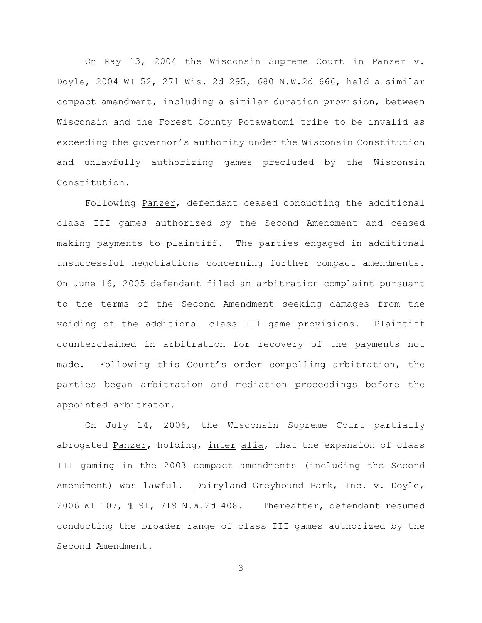On May 13, 2004 the Wisconsin Supreme Court in Panzer v. Doyle, 2004 WI 52, 271 Wis. 2d 295, 680 N.W.2d 666, held a similar compact amendment, including a similar duration provision, between Wisconsin and the Forest County Potawatomi tribe to be invalid as exceeding the governor's authority under the Wisconsin Constitution and unlawfully authorizing games precluded by the Wisconsin Constitution.

Following Panzer, defendant ceased conducting the additional class III games authorized by the Second Amendment and ceased making payments to plaintiff. The parties engaged in additional unsuccessful negotiations concerning further compact amendments. On June 16, 2005 defendant filed an arbitration complaint pursuant to the terms of the Second Amendment seeking damages from the voiding of the additional class III game provisions. Plaintiff counterclaimed in arbitration for recovery of the payments not made. Following this Court's order compelling arbitration, the parties began arbitration and mediation proceedings before the appointed arbitrator.

On July 14, 2006, the Wisconsin Supreme Court partially abrogated Panzer, holding, inter alia, that the expansion of class III gaming in the 2003 compact amendments (including the Second Amendment) was lawful. Dairyland Greyhound Park, Inc. v. Doyle, 2006 WI 107, ¶ 91, 719 N.W.2d 408. Thereafter, defendant resumed conducting the broader range of class III games authorized by the Second Amendment.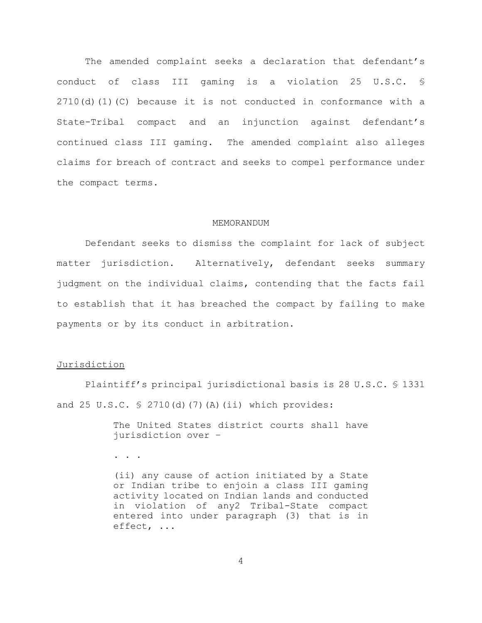The amended complaint seeks a declaration that defendant's conduct of class III gaming is a violation 25 U.S.C. § 2710(d)(1)(C) because it is not conducted in conformance with a State-Tribal compact and an injunction against defendant's continued class III gaming. The amended complaint also alleges claims for breach of contract and seeks to compel performance under the compact terms.

### MEMORANDUM

Defendant seeks to dismiss the complaint for lack of subject matter jurisdiction. Alternatively, defendant seeks summary judgment on the individual claims, contending that the facts fail to establish that it has breached the compact by failing to make payments or by its conduct in arbitration.

# Jurisdiction

Plaintiff's principal jurisdictional basis is 28 U.S.C. § 1331 and 25 U.S.C.  $\frac{1}{2}$  2710(d)(7)(A)(ii) which provides:

> The United States district courts shall have jurisdiction over –

. . .

(ii) any cause of action initiated by a State or Indian tribe to enjoin a class III gaming activity located on Indian lands and conducted in violation of any2 Tribal-State compact entered into under paragraph (3) that is in effect, ...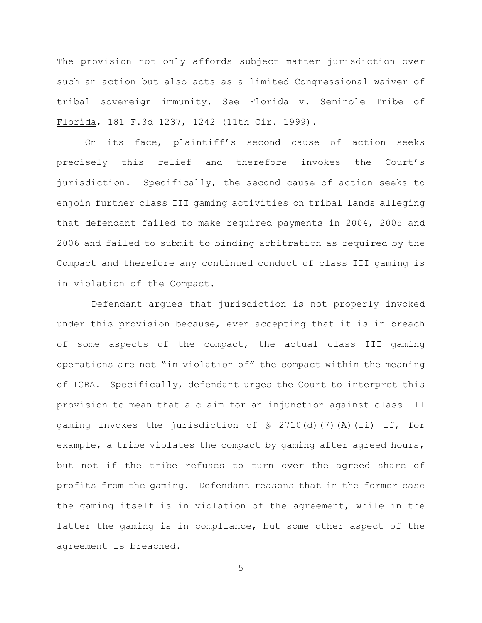The provision not only affords subject matter jurisdiction over such an action but also acts as a limited Congressional waiver of tribal sovereign immunity. See Florida v. Seminole Tribe of Florida, 181 F.3d 1237, 1242 (11th Cir. 1999).

On its face, plaintiff's second cause of action seeks precisely this relief and therefore invokes the Court's jurisdiction. Specifically, the second cause of action seeks to enjoin further class III gaming activities on tribal lands alleging that defendant failed to make required payments in 2004, 2005 and 2006 and failed to submit to binding arbitration as required by the Compact and therefore any continued conduct of class III gaming is in violation of the Compact.

 Defendant argues that jurisdiction is not properly invoked under this provision because, even accepting that it is in breach of some aspects of the compact, the actual class III gaming operations are not "in violation of" the compact within the meaning of IGRA. Specifically, defendant urges the Court to interpret this provision to mean that a claim for an injunction against class III gaming invokes the jurisdiction of § 2710(d)(7)(A)(ii) if, for example, a tribe violates the compact by gaming after agreed hours, but not if the tribe refuses to turn over the agreed share of profits from the gaming. Defendant reasons that in the former case the gaming itself is in violation of the agreement, while in the latter the gaming is in compliance, but some other aspect of the agreement is breached.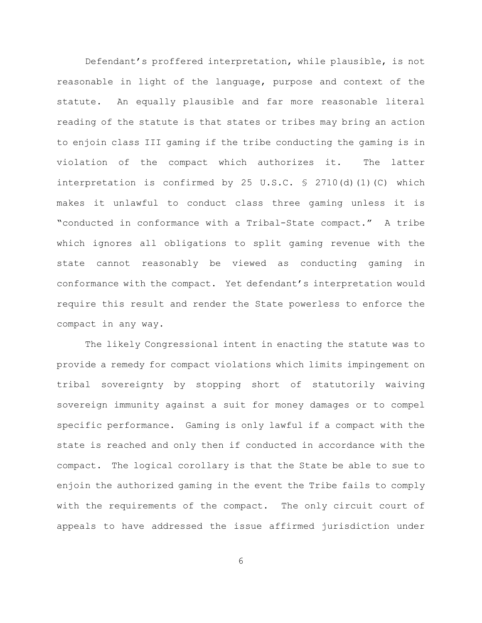Defendant's proffered interpretation, while plausible, is not reasonable in light of the language, purpose and context of the statute. An equally plausible and far more reasonable literal reading of the statute is that states or tribes may bring an action to enjoin class III gaming if the tribe conducting the gaming is in violation of the compact which authorizes it. The latter interpretation is confirmed by 25 U.S.C.  $\frac{1}{5}$  2710(d)(1)(C) which makes it unlawful to conduct class three gaming unless it is "conducted in conformance with a Tribal-State compact." A tribe which ignores all obligations to split gaming revenue with the state cannot reasonably be viewed as conducting gaming in conformance with the compact. Yet defendant's interpretation would require this result and render the State powerless to enforce the compact in any way.

The likely Congressional intent in enacting the statute was to provide a remedy for compact violations which limits impingement on tribal sovereignty by stopping short of statutorily waiving sovereign immunity against a suit for money damages or to compel specific performance. Gaming is only lawful if a compact with the state is reached and only then if conducted in accordance with the compact. The logical corollary is that the State be able to sue to enjoin the authorized gaming in the event the Tribe fails to comply with the requirements of the compact. The only circuit court of appeals to have addressed the issue affirmed jurisdiction under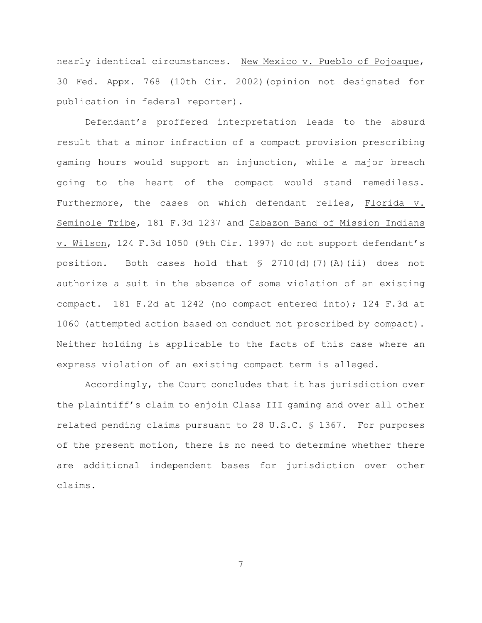nearly identical circumstances. New Mexico v. Pueblo of Pojoaque, 30 Fed. Appx. 768 (10th Cir. 2002)(opinion not designated for publication in federal reporter).

Defendant's proffered interpretation leads to the absurd result that a minor infraction of a compact provision prescribing gaming hours would support an injunction, while a major breach going to the heart of the compact would stand remediless. Furthermore, the cases on which defendant relies, Florida v. Seminole Tribe, 181 F.3d 1237 and Cabazon Band of Mission Indians v. Wilson, 124 F.3d 1050 (9th Cir. 1997) do not support defendant's position. Both cases hold that  $\frac{1}{2}$  2710(d)(7)(A)(ii) does not authorize a suit in the absence of some violation of an existing compact. 181 F.2d at 1242 (no compact entered into); 124 F.3d at 1060 (attempted action based on conduct not proscribed by compact). Neither holding is applicable to the facts of this case where an express violation of an existing compact term is alleged.

Accordingly, the Court concludes that it has jurisdiction over the plaintiff's claim to enjoin Class III gaming and over all other related pending claims pursuant to 28 U.S.C. § 1367. For purposes of the present motion, there is no need to determine whether there are additional independent bases for jurisdiction over other claims.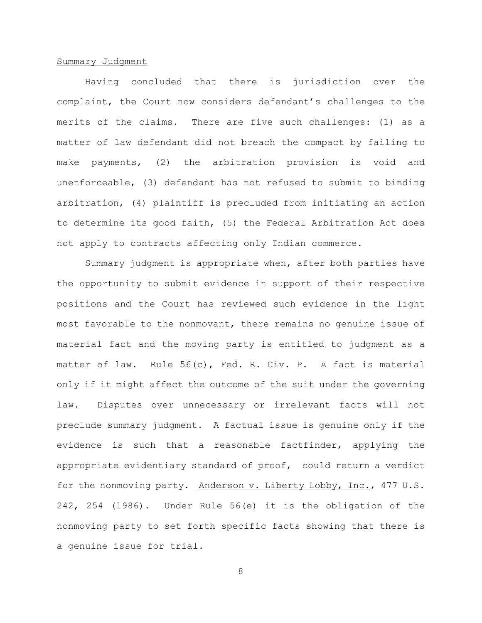# Summary Judgment

Having concluded that there is jurisdiction over the complaint, the Court now considers defendant's challenges to the merits of the claims. There are five such challenges: (1) as a matter of law defendant did not breach the compact by failing to make payments, (2) the arbitration provision is void and unenforceable, (3) defendant has not refused to submit to binding arbitration, (4) plaintiff is precluded from initiating an action to determine its good faith, (5) the Federal Arbitration Act does not apply to contracts affecting only Indian commerce.

Summary judgment is appropriate when, after both parties have the opportunity to submit evidence in support of their respective positions and the Court has reviewed such evidence in the light most favorable to the nonmovant, there remains no genuine issue of material fact and the moving party is entitled to judgment as a matter of law. Rule 56(c), Fed. R. Civ. P. A fact is material only if it might affect the outcome of the suit under the governing law. Disputes over unnecessary or irrelevant facts will not preclude summary judgment. A factual issue is genuine only if the evidence is such that a reasonable factfinder, applying the appropriate evidentiary standard of proof, could return a verdict for the nonmoving party. Anderson v. Liberty Lobby, Inc., 477 U.S. 242, 254 (l986). Under Rule 56(e) it is the obligation of the nonmoving party to set forth specific facts showing that there is a genuine issue for trial.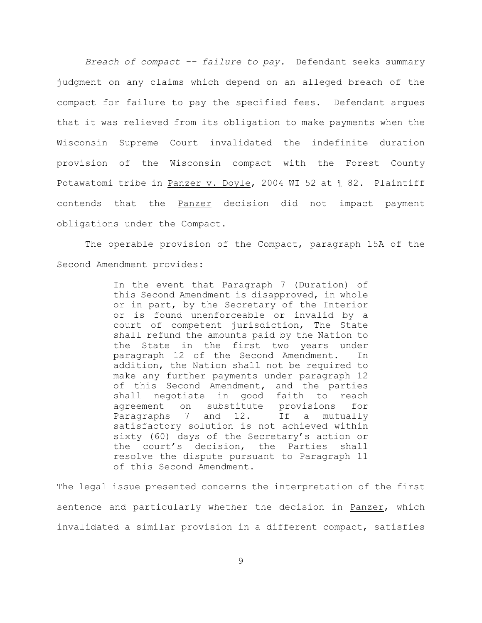*Breach of compact -- failure to pay.* Defendant seeks summary judgment on any claims which depend on an alleged breach of the compact for failure to pay the specified fees. Defendant argues that it was relieved from its obligation to make payments when the Wisconsin Supreme Court invalidated the indefinite duration provision of the Wisconsin compact with the Forest County Potawatomi tribe in Panzer v. Doyle, 2004 WI 52 at ¶ 82. Plaintiff contends that the Panzer decision did not impact payment obligations under the Compact.

The operable provision of the Compact, paragraph 15A of the Second Amendment provides:

> In the event that Paragraph 7 (Duration) of this Second Amendment is disapproved, in whole or in part, by the Secretary of the Interior or is found unenforceable or invalid by a court of competent jurisdiction, The State shall refund the amounts paid by the Nation to the State in the first two years under paragraph 12 of the Second Amendment. In addition, the Nation shall not be required to make any further payments under paragraph 12 of this Second Amendment, and the parties shall negotiate in good faith to reach agreement on substitute provisions for Paragraphs 7 and 12. If a mutually satisfactory solution is not achieved within sixty (60) days of the Secretary's action or the court's decision, the Parties shall resolve the dispute pursuant to Paragraph 11 of this Second Amendment.

The legal issue presented concerns the interpretation of the first sentence and particularly whether the decision in Panzer, which invalidated a similar provision in a different compact, satisfies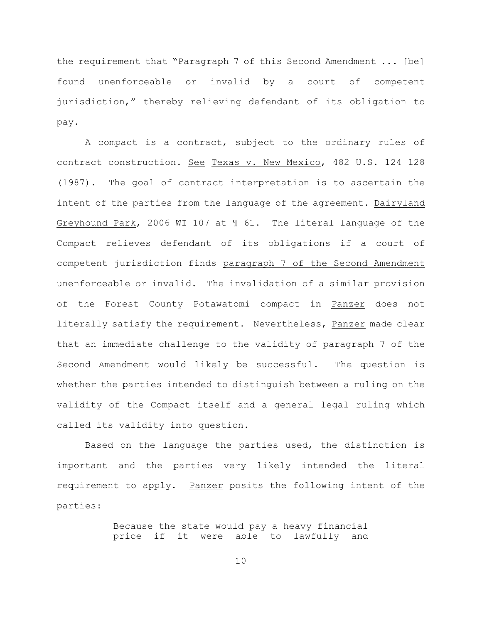the requirement that "Paragraph 7 of this Second Amendment ... [be] found unenforceable or invalid by a court of competent jurisdiction," thereby relieving defendant of its obligation to pay.

A compact is a contract, subject to the ordinary rules of contract construction. See Texas v. New Mexico, 482 U.S. 124 128 (1987). The goal of contract interpretation is to ascertain the intent of the parties from the language of the agreement. Dairyland Greyhound Park, 2006 WI 107 at ¶ 61. The literal language of the Compact relieves defendant of its obligations if a court of competent jurisdiction finds paragraph 7 of the Second Amendment unenforceable or invalid. The invalidation of a similar provision of the Forest County Potawatomi compact in Panzer does not literally satisfy the requirement. Nevertheless, Panzer made clear that an immediate challenge to the validity of paragraph 7 of the Second Amendment would likely be successful. The question is whether the parties intended to distinguish between a ruling on the validity of the Compact itself and a general legal ruling which called its validity into question.

Based on the language the parties used, the distinction is important and the parties very likely intended the literal requirement to apply. Panzer posits the following intent of the parties:

> Because the state would pay a heavy financial price if it were able to lawfully and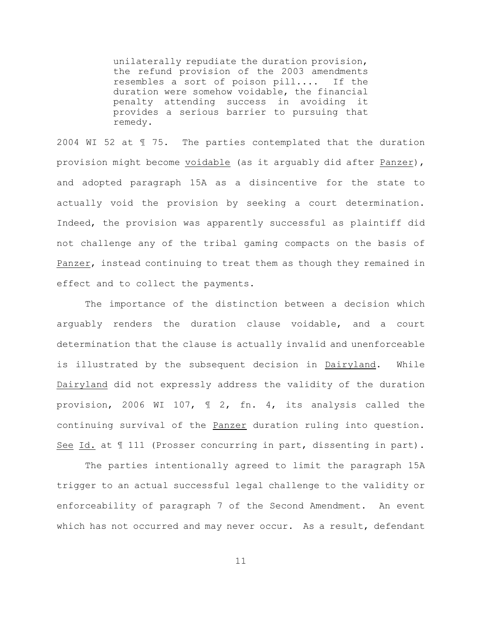unilaterally repudiate the duration provision, the refund provision of the 2003 amendments resembles a sort of poison pill.... If the duration were somehow voidable, the financial penalty attending success in avoiding it provides a serious barrier to pursuing that remedy.

2004 WI 52 at ¶ 75. The parties contemplated that the duration provision might become voidable (as it arguably did after Panzer), and adopted paragraph 15A as a disincentive for the state to actually void the provision by seeking a court determination. Indeed, the provision was apparently successful as plaintiff did not challenge any of the tribal gaming compacts on the basis of Panzer, instead continuing to treat them as though they remained in effect and to collect the payments.

The importance of the distinction between a decision which arguably renders the duration clause voidable, and a court determination that the clause is actually invalid and unenforceable is illustrated by the subsequent decision in Dairyland. While Dairyland did not expressly address the validity of the duration provision, 2006 WI 107, ¶ 2, fn. 4, its analysis called the continuing survival of the Panzer duration ruling into question. See Id. at  $\mathbb I$  111 (Prosser concurring in part, dissenting in part).

The parties intentionally agreed to limit the paragraph 15A trigger to an actual successful legal challenge to the validity or enforceability of paragraph 7 of the Second Amendment. An event which has not occurred and may never occur. As a result, defendant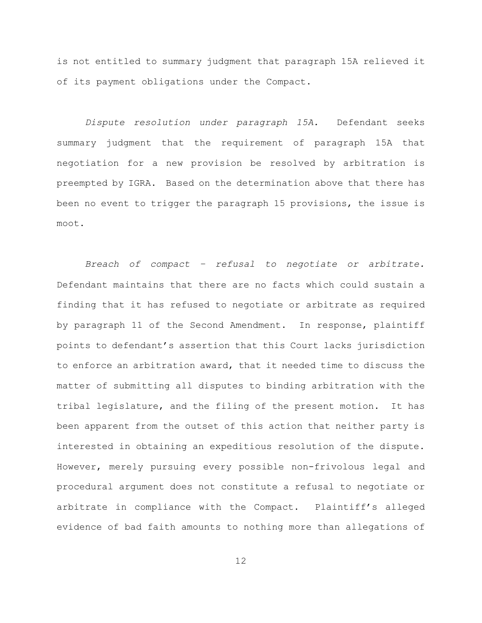is not entitled to summary judgment that paragraph 15A relieved it of its payment obligations under the Compact.

*Dispute resolution under paragraph 15A.* Defendant seeks summary judgment that the requirement of paragraph 15A that negotiation for a new provision be resolved by arbitration is preempted by IGRA. Based on the determination above that there has been no event to trigger the paragraph 15 provisions, the issue is moot.

*Breach of compact – refusal to negotiate or arbitrate.* Defendant maintains that there are no facts which could sustain a finding that it has refused to negotiate or arbitrate as required by paragraph 11 of the Second Amendment. In response, plaintiff points to defendant's assertion that this Court lacks jurisdiction to enforce an arbitration award, that it needed time to discuss the matter of submitting all disputes to binding arbitration with the tribal legislature, and the filing of the present motion. It has been apparent from the outset of this action that neither party is interested in obtaining an expeditious resolution of the dispute. However, merely pursuing every possible non-frivolous legal and procedural argument does not constitute a refusal to negotiate or arbitrate in compliance with the Compact. Plaintiff's alleged evidence of bad faith amounts to nothing more than allegations of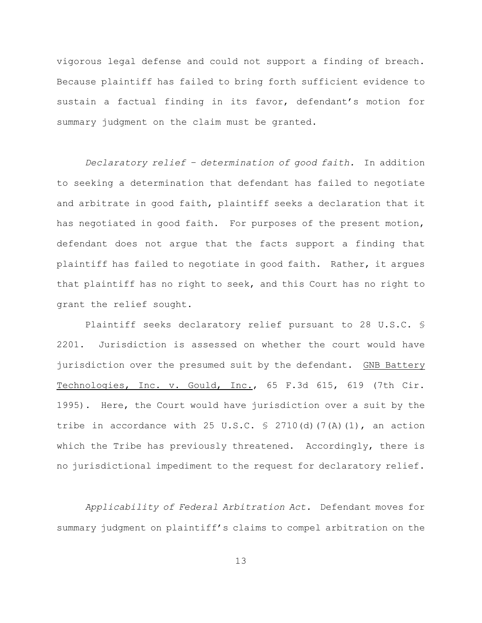vigorous legal defense and could not support a finding of breach. Because plaintiff has failed to bring forth sufficient evidence to sustain a factual finding in its favor, defendant's motion for summary judgment on the claim must be granted.

*Declaratory relief – determination of good faith.* In addition to seeking a determination that defendant has failed to negotiate and arbitrate in good faith, plaintiff seeks a declaration that it has negotiated in good faith. For purposes of the present motion, defendant does not argue that the facts support a finding that plaintiff has failed to negotiate in good faith. Rather, it argues that plaintiff has no right to seek, and this Court has no right to grant the relief sought.

Plaintiff seeks declaratory relief pursuant to 28 U.S.C. § 2201. Jurisdiction is assessed on whether the court would have jurisdiction over the presumed suit by the defendant. GNB Battery Technologies, Inc. v. Gould, Inc., 65 F.3d 615, 619 (7th Cir. 1995). Here, the Court would have jurisdiction over a suit by the tribe in accordance with 25 U.S.C.  $\frac{1}{2}$  2710(d)(7(A)(1), an action which the Tribe has previously threatened. Accordingly, there is no jurisdictional impediment to the request for declaratory relief.

*Applicability of Federal Arbitration Act.* Defendant moves for summary judgment on plaintiff's claims to compel arbitration on the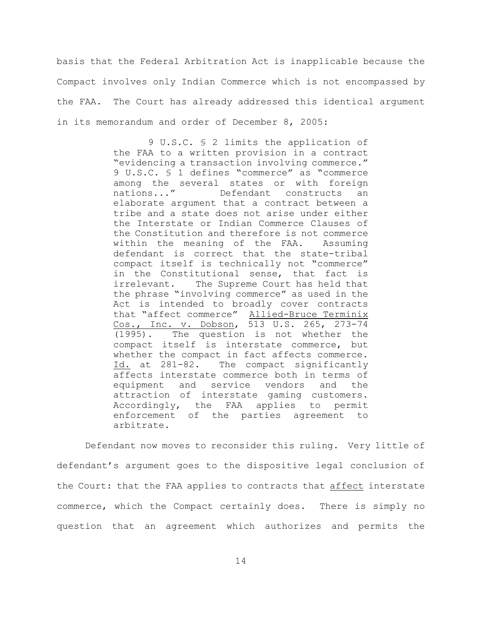basis that the Federal Arbitration Act is inapplicable because the Compact involves only Indian Commerce which is not encompassed by the FAA. The Court has already addressed this identical argument in its memorandum and order of December 8, 2005:

> 9 U.S.C. § 2 limits the application of the FAA to a written provision in a contract "evidencing a transaction involving commerce." 9 U.S.C. § 1 defines "commerce" as "commerce among the several states or with foreign<br>nations..." Defendant constructs an Defendant constructs an elaborate argument that a contract between a tribe and a state does not arise under either the Interstate or Indian Commerce Clauses of the Constitution and therefore is not commerce within the meaning of the FAA. Assuming defendant is correct that the state-tribal compact itself is technically not "commerce" in the Constitutional sense, that fact is irrelevant. The Supreme Court has held that the phrase "involving commerce" as used in the Act is intended to broadly cover contracts that "affect commerce" Allied-Bruce Terminix Cos., Inc. v. Dobson, 513 U.S. 265, 273-74 (1995). The question is not whether the compact itself is interstate commerce, but whether the compact in fact affects commerce. Id. at 281-82. The compact significantly affects interstate commerce both in terms of equipment and service vendors and the attraction of interstate gaming customers. Accordingly, the FAA applies to permit enforcement of the parties agreement to arbitrate.

Defendant now moves to reconsider this ruling. Very little of defendant's argument goes to the dispositive legal conclusion of the Court: that the FAA applies to contracts that affect interstate commerce, which the Compact certainly does. There is simply no question that an agreement which authorizes and permits the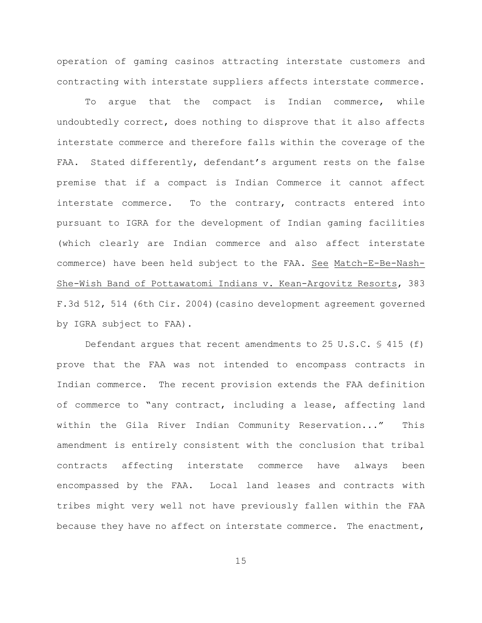operation of gaming casinos attracting interstate customers and contracting with interstate suppliers affects interstate commerce.

To argue that the compact is Indian commerce, while undoubtedly correct, does nothing to disprove that it also affects interstate commerce and therefore falls within the coverage of the FAA. Stated differently, defendant's argument rests on the false premise that if a compact is Indian Commerce it cannot affect interstate commerce. To the contrary, contracts entered into pursuant to IGRA for the development of Indian gaming facilities (which clearly are Indian commerce and also affect interstate commerce) have been held subject to the FAA. See Match-E-Be-Nash-She-Wish Band of Pottawatomi Indians v. Kean-Argovitz Resorts, 383 F.3d 512, 514 (6th Cir. 2004)(casino development agreement governed by IGRA subject to FAA).

Defendant argues that recent amendments to 25 U.S.C.  $\frac{6}{5}$  415 (f) prove that the FAA was not intended to encompass contracts in Indian commerce. The recent provision extends the FAA definition of commerce to "any contract, including a lease, affecting land within the Gila River Indian Community Reservation..." This amendment is entirely consistent with the conclusion that tribal contracts affecting interstate commerce have always been encompassed by the FAA. Local land leases and contracts with tribes might very well not have previously fallen within the FAA because they have no affect on interstate commerce. The enactment,